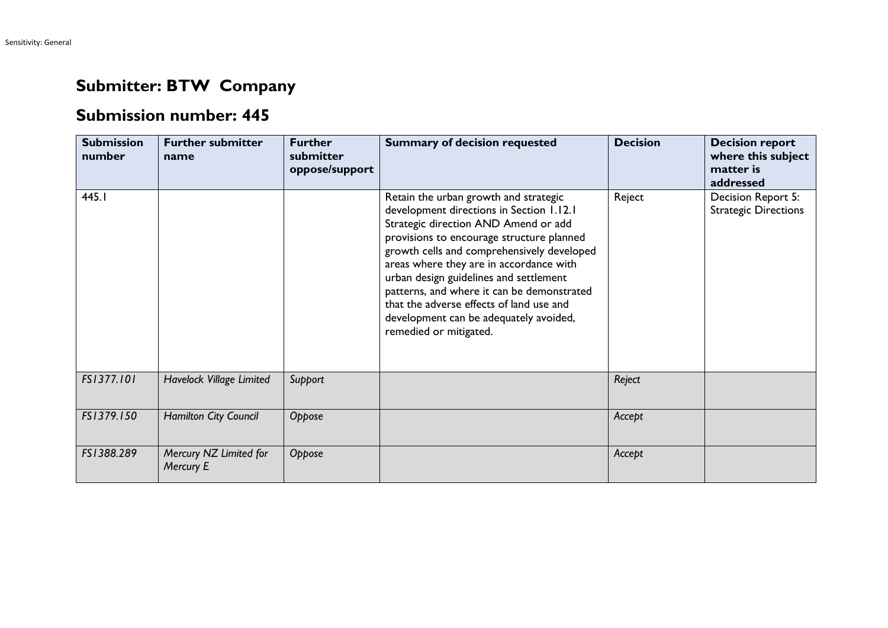## **Submitter: BTW Company**

## **Submission number: 445**

| <b>Submission</b><br>number | <b>Further submitter</b><br>name    | <b>Further</b><br>submitter<br>oppose/support | <b>Summary of decision requested</b>                                                                                                                                                                                                                                                                                                                                                                                                                                    | <b>Decision</b> | <b>Decision report</b><br>where this subject<br>matter is<br>addressed |
|-----------------------------|-------------------------------------|-----------------------------------------------|-------------------------------------------------------------------------------------------------------------------------------------------------------------------------------------------------------------------------------------------------------------------------------------------------------------------------------------------------------------------------------------------------------------------------------------------------------------------------|-----------------|------------------------------------------------------------------------|
| 445.I                       |                                     |                                               | Retain the urban growth and strategic<br>development directions in Section 1.12.1<br>Strategic direction AND Amend or add<br>provisions to encourage structure planned<br>growth cells and comprehensively developed<br>areas where they are in accordance with<br>urban design guidelines and settlement<br>patterns, and where it can be demonstrated<br>that the adverse effects of land use and<br>development can be adequately avoided,<br>remedied or mitigated. | Reject          | Decision Report 5:<br><b>Strategic Directions</b>                      |
| FS1377.101                  | Havelock Village Limited            | Support                                       |                                                                                                                                                                                                                                                                                                                                                                                                                                                                         | Reject          |                                                                        |
| FS1379.150                  | Hamilton City Council               | Oppose                                        |                                                                                                                                                                                                                                                                                                                                                                                                                                                                         | Accept          |                                                                        |
| FS1388.289                  | Mercury NZ Limited for<br>Mercury E | Oppose                                        |                                                                                                                                                                                                                                                                                                                                                                                                                                                                         | Accept          |                                                                        |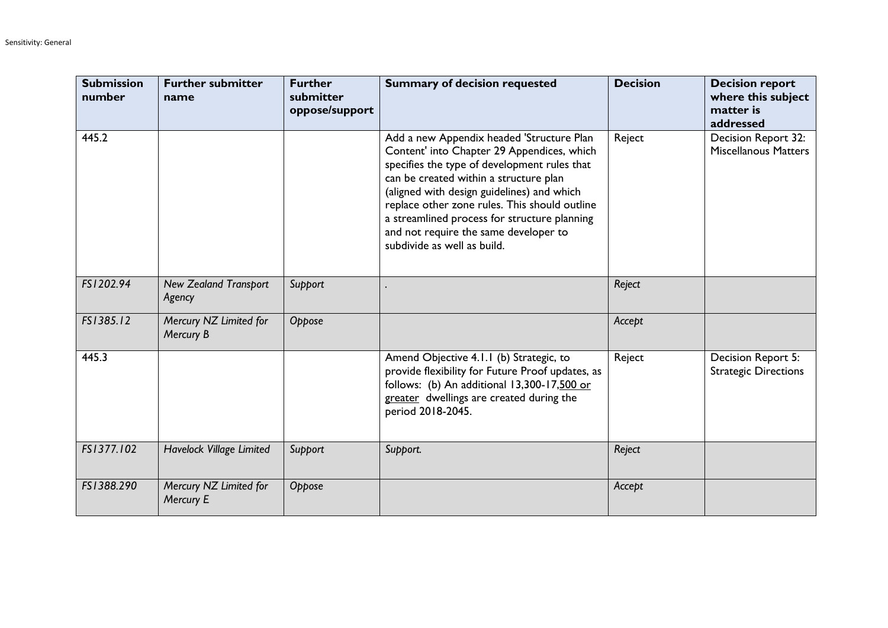| <b>Submission</b><br>number | <b>Further submitter</b><br>name       | <b>Further</b><br>submitter<br>oppose/support | <b>Summary of decision requested</b>                                                                                                                                                                                                                                                                                                                                                                     | <b>Decision</b> | <b>Decision report</b><br>where this subject<br>matter is<br>addressed |
|-----------------------------|----------------------------------------|-----------------------------------------------|----------------------------------------------------------------------------------------------------------------------------------------------------------------------------------------------------------------------------------------------------------------------------------------------------------------------------------------------------------------------------------------------------------|-----------------|------------------------------------------------------------------------|
| 445.2                       |                                        |                                               | Add a new Appendix headed 'Structure Plan<br>Content' into Chapter 29 Appendices, which<br>specifies the type of development rules that<br>can be created within a structure plan<br>(aligned with design guidelines) and which<br>replace other zone rules. This should outline<br>a streamlined process for structure planning<br>and not require the same developer to<br>subdivide as well as build. | Reject          | Decision Report 32:<br><b>Miscellanous Matters</b>                     |
| FS1202.94                   | <b>New Zealand Transport</b><br>Agency | Support                                       |                                                                                                                                                                                                                                                                                                                                                                                                          | Reject          |                                                                        |
| FS1385.12                   | Mercury NZ Limited for<br>Mercury B    | Oppose                                        |                                                                                                                                                                                                                                                                                                                                                                                                          | Accept          |                                                                        |
| 445.3                       |                                        |                                               | Amend Objective 4.1.1 (b) Strategic, to<br>provide flexibility for Future Proof updates, as<br>follows: (b) An additional 13,300-17,500 or<br>greater dwellings are created during the<br>period 2018-2045.                                                                                                                                                                                              | Reject          | Decision Report 5:<br><b>Strategic Directions</b>                      |
| FS1377.102                  | Havelock Village Limited               | Support                                       | Support.                                                                                                                                                                                                                                                                                                                                                                                                 | Reject          |                                                                        |
| FS1388.290                  | Mercury NZ Limited for<br>Mercury E    | Oppose                                        |                                                                                                                                                                                                                                                                                                                                                                                                          | Accept          |                                                                        |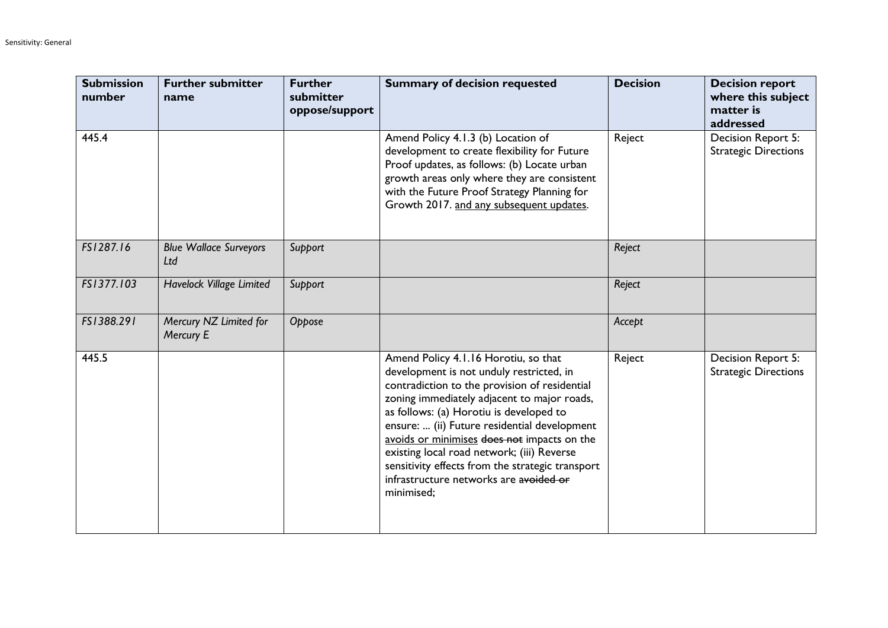| <b>Submission</b><br>number | <b>Further submitter</b><br>name     | <b>Further</b><br>submitter<br>oppose/support | <b>Summary of decision requested</b>                                                                                                                                                                                                                                                                                                                                                                                                                                                 | <b>Decision</b> | <b>Decision report</b><br>where this subject<br>matter is<br>addressed |
|-----------------------------|--------------------------------------|-----------------------------------------------|--------------------------------------------------------------------------------------------------------------------------------------------------------------------------------------------------------------------------------------------------------------------------------------------------------------------------------------------------------------------------------------------------------------------------------------------------------------------------------------|-----------------|------------------------------------------------------------------------|
| 445.4                       |                                      |                                               | Amend Policy 4.1.3 (b) Location of<br>development to create flexibility for Future<br>Proof updates, as follows: (b) Locate urban<br>growth areas only where they are consistent<br>with the Future Proof Strategy Planning for<br>Growth 2017. and any subsequent updates.                                                                                                                                                                                                          | Reject          | Decision Report 5:<br><b>Strategic Directions</b>                      |
| FS1287.16                   | <b>Blue Wallace Surveyors</b><br>Ltd | Support                                       |                                                                                                                                                                                                                                                                                                                                                                                                                                                                                      | Reject          |                                                                        |
| FS1377.103                  | Havelock Village Limited             | Support                                       |                                                                                                                                                                                                                                                                                                                                                                                                                                                                                      | Reject          |                                                                        |
| FS1388.291                  | Mercury NZ Limited for<br>Mercury E  | Oppose                                        |                                                                                                                                                                                                                                                                                                                                                                                                                                                                                      | Accept          |                                                                        |
| 445.5                       |                                      |                                               | Amend Policy 4.1.16 Horotiu, so that<br>development is not unduly restricted, in<br>contradiction to the provision of residential<br>zoning immediately adjacent to major roads,<br>as follows: (a) Horotiu is developed to<br>ensure:  (ii) Future residential development<br>avoids or minimises does not impacts on the<br>existing local road network; (iii) Reverse<br>sensitivity effects from the strategic transport<br>infrastructure networks are avoided or<br>minimised; | Reject          | Decision Report 5:<br><b>Strategic Directions</b>                      |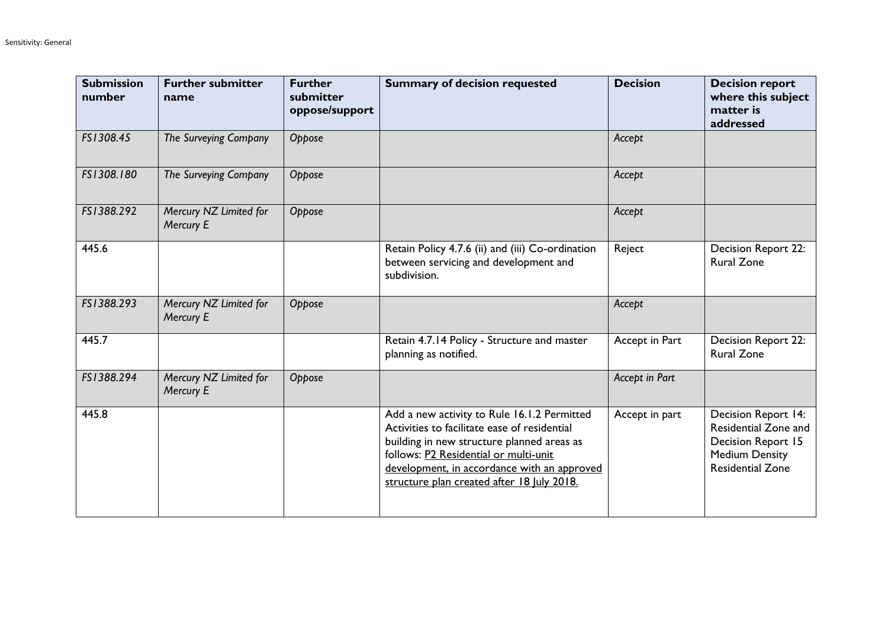| <b>Submission</b><br>number | <b>Further submitter</b><br>name    | <b>Further</b><br>submitter<br>oppose/support | <b>Summary of decision requested</b>                                                                                                                                                                                                                                            | <b>Decision</b> | <b>Decision report</b><br>where this subject<br>matter is<br>addressed                                                |
|-----------------------------|-------------------------------------|-----------------------------------------------|---------------------------------------------------------------------------------------------------------------------------------------------------------------------------------------------------------------------------------------------------------------------------------|-----------------|-----------------------------------------------------------------------------------------------------------------------|
| FS1308.45                   | The Surveying Company               | Oppose                                        |                                                                                                                                                                                                                                                                                 | Accept          |                                                                                                                       |
| FS1308.180                  | The Surveying Company               | Oppose                                        |                                                                                                                                                                                                                                                                                 | Accept          |                                                                                                                       |
| FS1388.292                  | Mercury NZ Limited for<br>Mercury E | Oppose                                        |                                                                                                                                                                                                                                                                                 | Accept          |                                                                                                                       |
| 445.6                       |                                     |                                               | Retain Policy 4.7.6 (ii) and (iii) Co-ordination<br>between servicing and development and<br>subdivision.                                                                                                                                                                       | Reject          | Decision Report 22:<br><b>Rural Zone</b>                                                                              |
| FS1388.293                  | Mercury NZ Limited for<br>Mercury E | Oppose                                        |                                                                                                                                                                                                                                                                                 | Accept          |                                                                                                                       |
| 445.7                       |                                     |                                               | Retain 4.7.14 Policy - Structure and master<br>planning as notified.                                                                                                                                                                                                            | Accept in Part  | Decision Report 22:<br><b>Rural Zone</b>                                                                              |
| FS1388.294                  | Mercury NZ Limited for<br>Mercury E | Oppose                                        |                                                                                                                                                                                                                                                                                 | Accept in Part  |                                                                                                                       |
| 445.8                       |                                     |                                               | Add a new activity to Rule 16.1.2 Permitted<br>Activities to facilitate ease of residential<br>building in new structure planned areas as<br>follows: P2 Residential or multi-unit<br>development, in accordance with an approved<br>structure plan created after 18 July 2018. | Accept in part  | Decision Report 14:<br>Residential Zone and<br>Decision Report 15<br><b>Medium Density</b><br><b>Residential Zone</b> |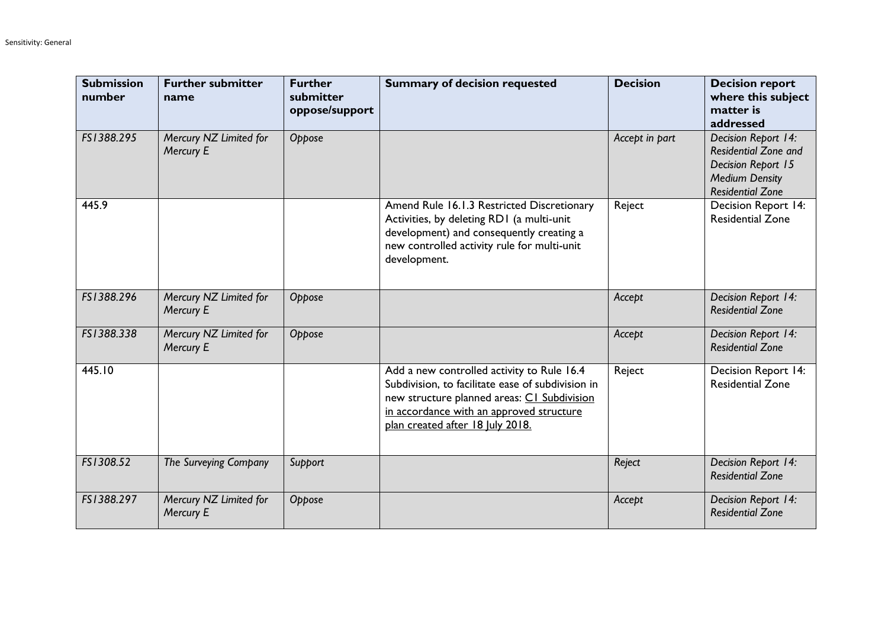| <b>Submission</b><br>number | <b>Further submitter</b><br>name    | <b>Further</b><br>submitter<br>oppose/support | <b>Summary of decision requested</b>                                                                                                                                                                                           | <b>Decision</b> | <b>Decision report</b><br>where this subject<br>matter is<br>addressed                                                       |
|-----------------------------|-------------------------------------|-----------------------------------------------|--------------------------------------------------------------------------------------------------------------------------------------------------------------------------------------------------------------------------------|-----------------|------------------------------------------------------------------------------------------------------------------------------|
| FS1388.295                  | Mercury NZ Limited for<br>Mercury E | Oppose                                        |                                                                                                                                                                                                                                | Accept in part  | Decision Report 14:<br><b>Residential Zone and</b><br>Decision Report 15<br><b>Medium Density</b><br><b>Residential Zone</b> |
| 445.9                       |                                     |                                               | Amend Rule 16.1.3 Restricted Discretionary<br>Activities, by deleting RD1 (a multi-unit<br>development) and consequently creating a<br>new controlled activity rule for multi-unit<br>development.                             | Reject          | Decision Report 14:<br><b>Residential Zone</b>                                                                               |
| FS1388.296                  | Mercury NZ Limited for<br>Mercury E | Oppose                                        |                                                                                                                                                                                                                                | Accept          | Decision Report 14:<br><b>Residential Zone</b>                                                                               |
| FS1388.338                  | Mercury NZ Limited for<br>Mercury E | Oppose                                        |                                                                                                                                                                                                                                | Accept          | Decision Report 14:<br><b>Residential Zone</b>                                                                               |
| 445.10                      |                                     |                                               | Add a new controlled activity to Rule 16.4<br>Subdivision, to facilitate ease of subdivision in<br>new structure planned areas: C1 Subdivision<br>in accordance with an approved structure<br>plan created after 18 July 2018. | Reject          | Decision Report 14:<br><b>Residential Zone</b>                                                                               |
| FS1308.52                   | The Surveying Company               | Support                                       |                                                                                                                                                                                                                                | Reject          | Decision Report 14:<br><b>Residential Zone</b>                                                                               |
| FS1388.297                  | Mercury NZ Limited for<br>Mercury E | Oppose                                        |                                                                                                                                                                                                                                | Accept          | Decision Report 14:<br><b>Residential Zone</b>                                                                               |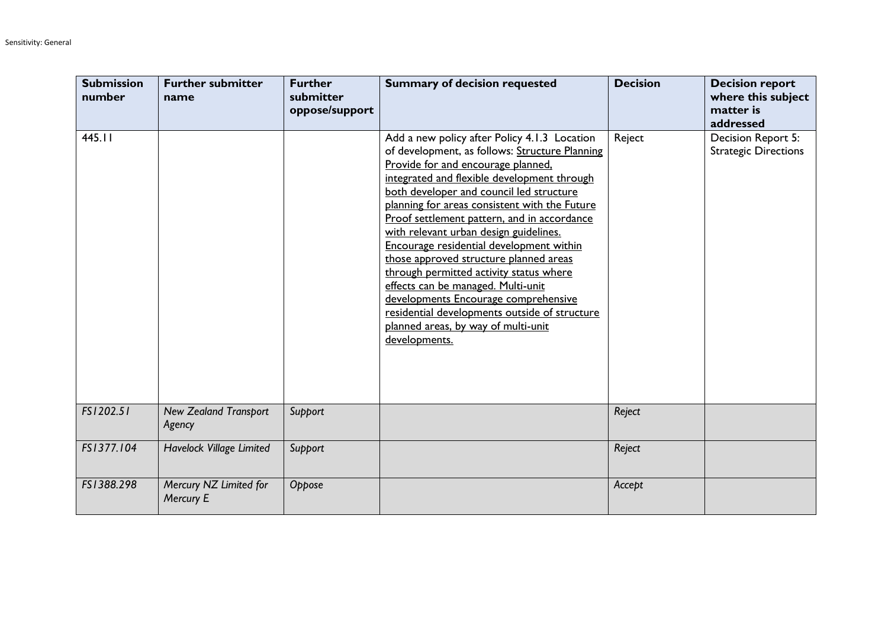| <b>Submission</b><br>number | <b>Further submitter</b><br>name       | <b>Further</b><br>submitter<br>oppose/support | <b>Summary of decision requested</b>                                                                                                                                                                                                                                                                                                                                                                                                                                                                                                                                                                                                                                                              | <b>Decision</b> | <b>Decision report</b><br>where this subject<br>matter is<br>addressed |
|-----------------------------|----------------------------------------|-----------------------------------------------|---------------------------------------------------------------------------------------------------------------------------------------------------------------------------------------------------------------------------------------------------------------------------------------------------------------------------------------------------------------------------------------------------------------------------------------------------------------------------------------------------------------------------------------------------------------------------------------------------------------------------------------------------------------------------------------------------|-----------------|------------------------------------------------------------------------|
| 445.11                      |                                        |                                               | Add a new policy after Policy 4.1.3 Location<br>of development, as follows: Structure Planning<br>Provide for and encourage planned,<br>integrated and flexible development through<br>both developer and council led structure<br>planning for areas consistent with the Future<br>Proof settlement pattern, and in accordance<br>with relevant urban design guidelines.<br>Encourage residential development within<br>those approved structure planned areas<br>through permitted activity status where<br>effects can be managed. Multi-unit<br>developments Encourage comprehensive<br>residential developments outside of structure<br>planned areas, by way of multi-unit<br>developments. | Reject          | Decision Report 5:<br><b>Strategic Directions</b>                      |
| FS1202.51                   | <b>New Zealand Transport</b><br>Agency | Support                                       |                                                                                                                                                                                                                                                                                                                                                                                                                                                                                                                                                                                                                                                                                                   | Reject          |                                                                        |
| FS1377.104                  | Havelock Village Limited               | Support                                       |                                                                                                                                                                                                                                                                                                                                                                                                                                                                                                                                                                                                                                                                                                   | Reject          |                                                                        |
| FS1388.298                  | Mercury NZ Limited for<br>Mercury E    | Oppose                                        |                                                                                                                                                                                                                                                                                                                                                                                                                                                                                                                                                                                                                                                                                                   | Accept          |                                                                        |